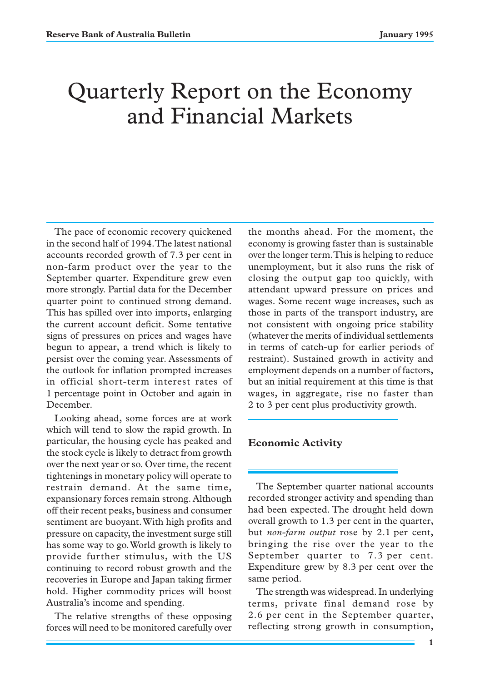# Quarterly Report on the Economy and Financial Markets

The pace of economic recovery quickened in the second half of 1994. The latest national accounts recorded growth of 7.3 per cent in non-farm product over the year to the September quarter. Expenditure grew even more strongly. Partial data for the December quarter point to continued strong demand. This has spilled over into imports, enlarging the current account deficit. Some tentative signs of pressures on prices and wages have begun to appear, a trend which is likely to persist over the coming year. Assessments of the outlook for inflation prompted increases in official short-term interest rates of 1 percentage point in October and again in December.

Looking ahead, some forces are at work which will tend to slow the rapid growth. In particular, the housing cycle has peaked and the stock cycle is likely to detract from growth over the next year or so. Over time, the recent tightenings in monetary policy will operate to restrain demand. At the same time, expansionary forces remain strong. Although off their recent peaks, business and consumer sentiment are buoyant. With high profits and pressure on capacity, the investment surge still has some way to go. World growth is likely to provide further stimulus, with the US continuing to record robust growth and the recoveries in Europe and Japan taking firmer hold. Higher commodity prices will boost Australia's income and spending.

The relative strengths of these opposing forces will need to be monitored carefully over the months ahead. For the moment, the economy is growing faster than is sustainable over the longer term. This is helping to reduce unemployment, but it also runs the risk of closing the output gap too quickly, with attendant upward pressure on prices and wages. Some recent wage increases, such as those in parts of the transport industry, are not consistent with ongoing price stability (whatever the merits of individual settlements in terms of catch-up for earlier periods of restraint). Sustained growth in activity and employment depends on a number of factors, but an initial requirement at this time is that wages, in aggregate, rise no faster than 2 to 3 per cent plus productivity growth.

# **Economic Activity**

The September quarter national accounts recorded stronger activity and spending than had been expected. The drought held down overall growth to 1.3 per cent in the quarter, but *non-farm output* rose by 2.1 per cent, bringing the rise over the year to the September quarter to 7.3 per cent. Expenditure grew by 8.3 per cent over the same period.

The strength was widespread. In underlying terms, private final demand rose by 2.6 per cent in the September quarter, reflecting strong growth in consumption,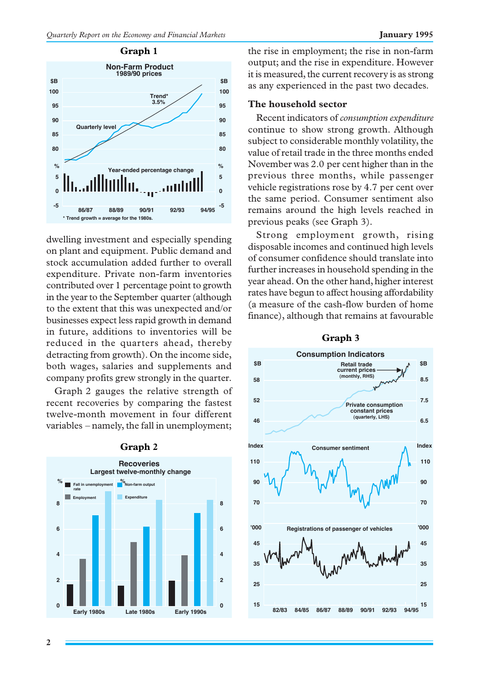

dwelling investment and especially spending on plant and equipment. Public demand and stock accumulation added further to overall expenditure. Private non-farm inventories contributed over 1 percentage point to growth in the year to the September quarter (although to the extent that this was unexpected and/or businesses expect less rapid growth in demand in future, additions to inventories will be reduced in the quarters ahead, thereby detracting from growth). On the income side, both wages, salaries and supplements and company profits grew strongly in the quarter.

Graph 2 gauges the relative strength of recent recoveries by comparing the fastest twelve-month movement in four different variables – namely, the fall in unemployment;



#### **Graph 2**

the rise in employment; the rise in non-farm output; and the rise in expenditure. However it is measured, the current recovery is as strong as any experienced in the past two decades.

# **The household sector**

Recent indicators of *consumption expenditure* continue to show strong growth. Although subject to considerable monthly volatility, the value of retail trade in the three months ended November was 2.0 per cent higher than in the previous three months, while passenger vehicle registrations rose by 4.7 per cent over the same period. Consumer sentiment also remains around the high levels reached in previous peaks (see Graph 3).

Strong employment growth, rising disposable incomes and continued high levels of consumer confidence should translate into further increases in household spending in the year ahead. On the other hand, higher interest rates have begun to affect housing affordability (a measure of the cash-flow burden of home finance), although that remains at favourable



#### **Graph 3**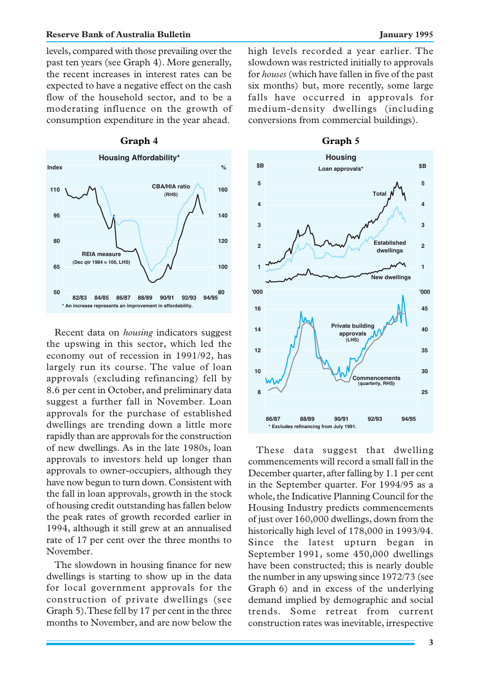levels, compared with those prevailing over the past ten years (see Graph 4). More generally, the recent increases in interest rates can be expected to have a negative effect on the cash flow of the household sector, and to be a moderating influence on the growth of consumption expenditure in the year ahead.



Recent data on *housing* indicators suggest the upswing in this sector, which led the economy out of recession in 1991/92, has largely run its course. The value of loan approvals (excluding refinancing) fell by 8.6 per cent in October, and preliminary data suggest a further fall in November. Loan approvals for the purchase of established dwellings are trending down a little more rapidly than are approvals for the construction of new dwellings. As in the late 1980s, loan approvals to investors held up longer than approvals to owner-occupiers, although they have now begun to turn down. Consistent with the fall in loan approvals, growth in the stock of housing credit outstanding has fallen below the peak rates of growth recorded earlier in 1994, although it still grew at an annualised rate of 17 per cent over the three months to November.

The slowdown in housing finance for new dwellings is starting to show up in the data for local government approvals for the construction of private dwellings (see Graph 5). These fell by 17 per cent in the three months to November, and are now below the high levels recorded a year earlier. The slowdown was restricted initially to approvals for *houses* (which have fallen in five of the past six months) but, more recently, some large falls have occurred in approvals for medium-density dwellings (including conversions from commercial buildings).



These data suggest that dwelling commencements will record a small fall in the December quarter, after falling by 1.1 per cent in the September quarter. For 1994/95 as a whole, the Indicative Planning Council for the Housing Industry predicts commencements of just over 160,000 dwellings, down from the historically high level of 178,000 in 1993/94. Since the latest upturn began in September 1991, some 450,000 dwellings have been constructed; this is nearly double the number in any upswing since 1972/73 (see Graph 6) and in excess of the underlying demand implied by demographic and social trends. Some retreat from current construction rates was inevitable, irrespective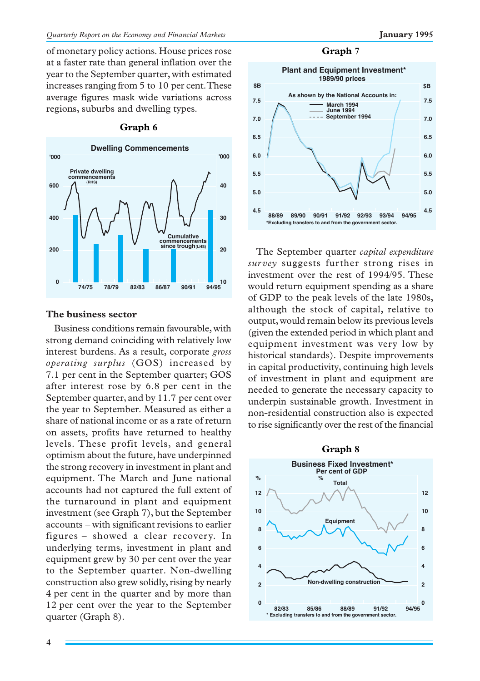of monetary policy actions. House prices rose at a faster rate than general inflation over the year to the September quarter, with estimated increases ranging from 5 to 10 per cent. These average figures mask wide variations across regions, suburbs and dwelling types.



#### **Graph 6**

# **The business sector**

Business conditions remain favourable, with strong demand coinciding with relatively low interest burdens. As a result, corporate *gross operating surplus* (GOS) increased by 7.1 per cent in the September quarter; GOS after interest rose by 6.8 per cent in the September quarter, and by 11.7 per cent over the year to September. Measured as either a share of national income or as a rate of return on assets, profits have returned to healthy levels. These profit levels, and general optimism about the future, have underpinned the strong recovery in investment in plant and equipment. The March and June national accounts had not captured the full extent of the turnaround in plant and equipment investment (see Graph 7), but the September accounts – with significant revisions to earlier figures – showed a clear recovery. In underlying terms, investment in plant and equipment grew by 30 per cent over the year to the September quarter. Non-dwelling construction also grew solidly, rising by nearly 4 per cent in the quarter and by more than 12 per cent over the year to the September quarter (Graph 8).

#### **Graph 7**



The September quarter *capital expenditure survey* suggests further strong rises in investment over the rest of 1994/95. These would return equipment spending as a share of GDP to the peak levels of the late 1980s, although the stock of capital, relative to output, would remain below its previous levels (given the extended period in which plant and equipment investment was very low by historical standards). Despite improvements in capital productivity, continuing high levels of investment in plant and equipment are needed to generate the necessary capacity to underpin sustainable growth. Investment in non-residential construction also is expected to rise significantly over the rest of the financial

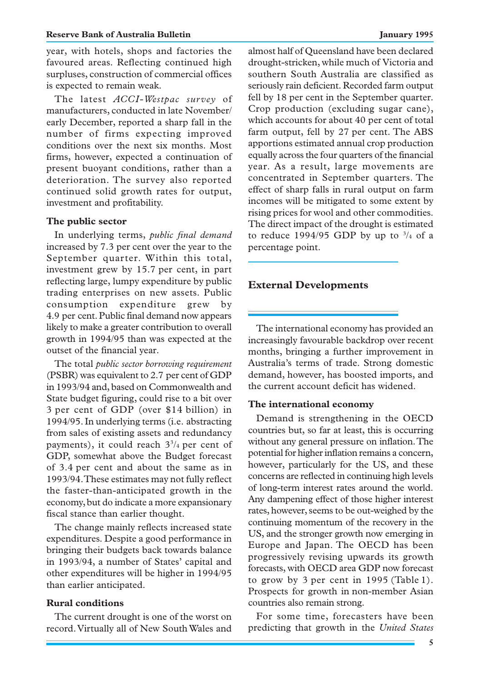year, with hotels, shops and factories the favoured areas. Reflecting continued high surpluses, construction of commercial offices is expected to remain weak.

The latest *ACCI-Westpac survey* of manufacturers, conducted in late November/ early December, reported a sharp fall in the number of firms expecting improved conditions over the next six months. Most firms, however, expected a continuation of present buoyant conditions, rather than a deterioration. The survey also reported continued solid growth rates for output, investment and profitability.

#### **The public sector**

In underlying terms, *public final demand* increased by 7.3 per cent over the year to the September quarter. Within this total, investment grew by 15.7 per cent, in part reflecting large, lumpy expenditure by public trading enterprises on new assets. Public consumption expenditure grew by 4.9 per cent. Public final demand now appears likely to make a greater contribution to overall growth in 1994/95 than was expected at the outset of the financial year.

The total *public sector borrowing requirement* (PSBR) was equivalent to 2.7 per cent of GDP in 1993/94 and, based on Commonwealth and State budget figuring, could rise to a bit over 3 per cent of GDP (over \$14 billion) in 1994/95. In underlying terms (i.e. abstracting from sales of existing assets and redundancy payments), it could reach  $3\frac{3}{4}$  per cent of GDP, somewhat above the Budget forecast of 3.4 per cent and about the same as in 1993/94. These estimates may not fully reflect the faster-than-anticipated growth in the economy, but do indicate a more expansionary fiscal stance than earlier thought.

The change mainly reflects increased state expenditures. Despite a good performance in bringing their budgets back towards balance in 1993/94, a number of States' capital and other expenditures will be higher in 1994/95 than earlier anticipated.

### **Rural conditions**

The current drought is one of the worst on record. Virtually all of New South Wales and

almost half of Queensland have been declared drought-stricken, while much of Victoria and southern South Australia are classified as seriously rain deficient. Recorded farm output fell by 18 per cent in the September quarter. Crop production (excluding sugar cane), which accounts for about 40 per cent of total farm output, fell by 27 per cent. The ABS apportions estimated annual crop production equally across the four quarters of the financial year. As a result, large movements are concentrated in September quarters. The effect of sharp falls in rural output on farm incomes will be mitigated to some extent by rising prices for wool and other commodities. The direct impact of the drought is estimated to reduce 1994/95 GDP by up to  $\frac{3}{4}$  of a percentage point.

# **External Developments**

The international economy has provided an increasingly favourable backdrop over recent months, bringing a further improvement in Australia's terms of trade. Strong domestic demand, however, has boosted imports, and the current account deficit has widened.

#### **The international economy**

Demand is strengthening in the OECD countries but, so far at least, this is occurring without any general pressure on inflation. The potential for higher inflation remains a concern, however, particularly for the US, and these concerns are reflected in continuing high levels of long-term interest rates around the world. Any dampening effect of those higher interest rates, however, seems to be out-weighed by the continuing momentum of the recovery in the US, and the stronger growth now emerging in Europe and Japan. The OECD has been progressively revising upwards its growth forecasts, with OECD area GDP now forecast to grow by 3 per cent in 1995 (Table 1). Prospects for growth in non-member Asian countries also remain strong.

For some time, forecasters have been predicting that growth in the *United States*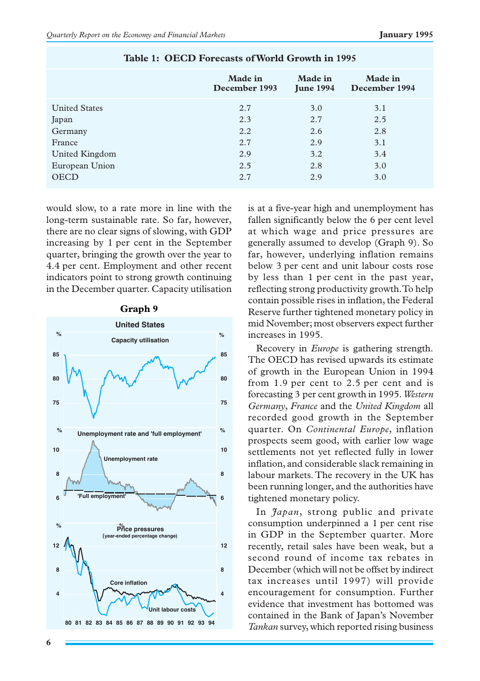|                      | <b>Made</b> in<br>December 1993 | Made in<br><b>June 1994</b> | Made in<br>December 1994 |
|----------------------|---------------------------------|-----------------------------|--------------------------|
| <b>United States</b> | 2.7                             | 3.0                         | 3.1                      |
| Japan                | 2.3                             | 2.7                         | 2.5                      |
| Germany              | 2.2                             | 2.6                         | 2.8                      |
| France               | 2.7                             | 2.9                         | 3.1                      |
| United Kingdom       | 2.9                             | 3.2                         | 3.4                      |
| European Union       | 2.5                             | 2.8                         | 3.0                      |
| <b>OECD</b>          | 2.7                             | 2.9                         | 3.0                      |

# **Table 1: OECD Forecasts of World Growth in 1995**

would slow, to a rate more in line with the long-term sustainable rate. So far, however, there are no clear signs of slowing, with GDP increasing by 1 per cent in the September quarter, bringing the growth over the year to 4.4 per cent. Employment and other recent indicators point to strong growth continuing in the December quarter. Capacity utilisation



**Graph 9**

is at a five-year high and unemployment has fallen significantly below the 6 per cent level at which wage and price pressures are generally assumed to develop (Graph 9). So far, however, underlying inflation remains below 3 per cent and unit labour costs rose by less than 1 per cent in the past year, reflecting strong productivity growth. To help contain possible rises in inflation, the Federal Reserve further tightened monetary policy in mid November; most observers expect further increases in 1995.

Recovery in *Europe* is gathering strength. The OECD has revised upwards its estimate of growth in the European Union in 1994 from 1.9 per cent to 2.5 per cent and is forecasting 3 per cent growth in 1995. *Western Germany*, *France* and the *United Kingdom* all recorded good growth in the September quarter. On *Continental Europe*, inflation prospects seem good, with earlier low wage settlements not yet reflected fully in lower inflation, and considerable slack remaining in labour markets. The recovery in the UK has been running longer, and the authorities have tightened monetary policy.

In *Japan*, strong public and private consumption underpinned a 1 per cent rise in GDP in the September quarter. More recently, retail sales have been weak, but a second round of income tax rebates in December (which will not be offset by indirect tax increases until 1997) will provide encouragement for consumption. Further evidence that investment has bottomed was contained in the Bank of Japan's November *Tankan* survey, which reported rising business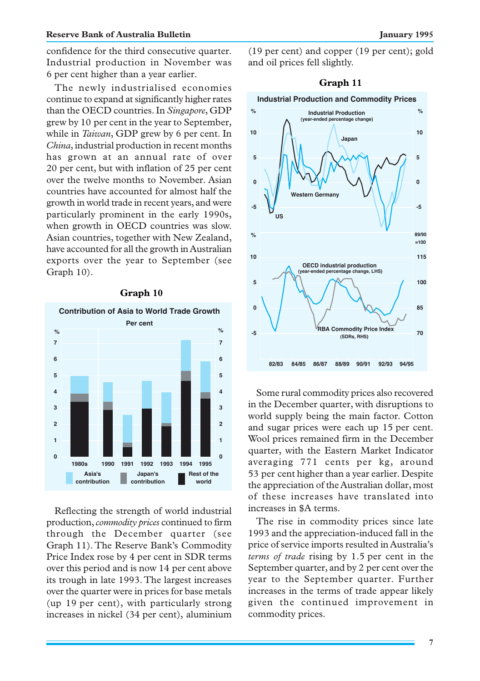confidence for the third consecutive quarter. Industrial production in November was 6 per cent higher than a year earlier.

The newly industrialised economies continue to expand at significantly higher rates than the OECD countries. In *Singapore*, GDP grew by 10 per cent in the year to September, while in *Taiwan*, GDP grew by 6 per cent. In *China*, industrial production in recent months has grown at an annual rate of over 20 per cent, but with inflation of 25 per cent over the twelve months to November. Asian countries have accounted for almost half the growth in world trade in recent years, and were particularly prominent in the early 1990s, when growth in OECD countries was slow. Asian countries, together with New Zealand, have accounted for all the growth in Australian exports over the year to September (see Graph 10).



# **Graph 10**

Reflecting the strength of world industrial production, *commodity prices* continued to firm through the December quarter (see Graph 11). The Reserve Bank's Commodity Price Index rose by 4 per cent in SDR terms over this period and is now 14 per cent above its trough in late 1993. The largest increases over the quarter were in prices for base metals (up 19 per cent), with particularly strong increases in nickel (34 per cent), aluminium (19 per cent) and copper (19 per cent); gold and oil prices fell slightly.



Some rural commodity prices also recovered in the December quarter, with disruptions to world supply being the main factor. Cotton and sugar prices were each up 15 per cent. Wool prices remained firm in the December quarter, with the Eastern Market Indicator averaging 771 cents per kg, around 53 per cent higher than a year earlier. Despite the appreciation of the Australian dollar, most of these increases have translated into increases in \$A terms.

The rise in commodity prices since late 1993 and the appreciation-induced fall in the price of service imports resulted in Australia's *terms of trade* rising by 1.5 per cent in the September quarter, and by 2 per cent over the year to the September quarter. Further increases in the terms of trade appear likely given the continued improvement in commodity prices.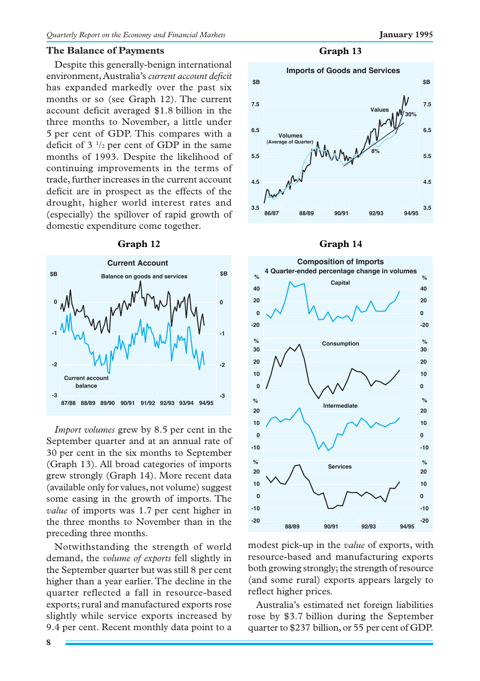#### **The Balance of Payments**

Despite this generally-benign international environment, Australia's *current account deficit* has expanded markedly over the past six months or so (see Graph 12). The current account deficit averaged \$1.8 billion in the three months to November, a little under 5 per cent of GDP. This compares with a deficit of  $3<sup>1</sup>/2$  per cent of GDP in the same months of 1993. Despite the likelihood of continuing improvements in the terms of trade, further increases in the current account deficit are in prospect as the effects of the drought, higher world interest rates and (especially) the spillover of rapid growth of domestic expenditure come together.



#### **Graph 12**

*Import volumes* grew by 8.5 per cent in the September quarter and at an annual rate of 30 per cent in the six months to September (Graph 13). All broad categories of imports grew strongly (Graph 14). More recent data (available only for values, not volume) suggest some easing in the growth of imports. The *value* of imports was 1.7 per cent higher in the three months to November than in the preceding three months.

Notwithstanding the strength of world demand, the *volume of exports* fell slightly in the September quarter but was still 8 per cent higher than a year earlier. The decline in the quarter reflected a fall in resource-based exports; rural and manufactured exports rose slightly while service exports increased by 9.4 per cent. Recent monthly data point to a

**Graph 13**







modest pick-up in the *value* of exports, with resource-based and manufacturing exports both growing strongly; the strength of resource (and some rural) exports appears largely to reflect higher prices.

Australia's estimated net foreign liabilities rose by \$3.7 billion during the September quarter to \$237 billion, or 55 per cent of GDP.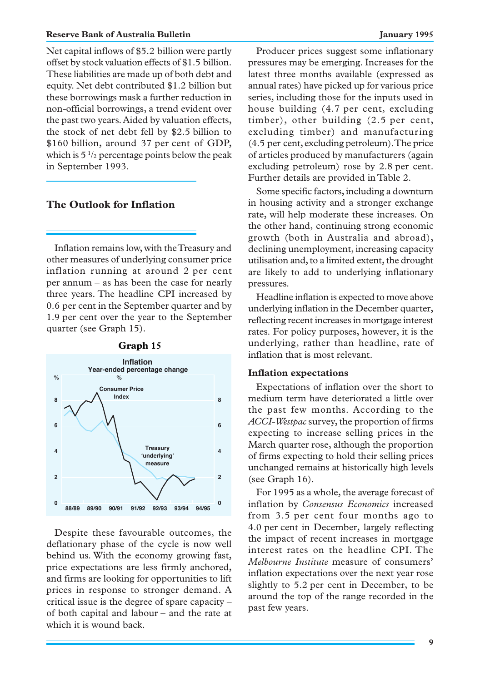Net capital inflows of \$5.2 billion were partly offset by stock valuation effects of \$1.5 billion. These liabilities are made up of both debt and equity. Net debt contributed \$1.2 billion but these borrowings mask a further reduction in non-official borrowings, a trend evident over the past two years. Aided by valuation effects, the stock of net debt fell by \$2.5 billion to \$160 billion, around 37 per cent of GDP, which is  $5\frac{1}{2}$  percentage points below the peak in September 1993.

# **The Outlook for Inflation**

Inflation remains low, with the Treasury and other measures of underlying consumer price inflation running at around 2 per cent per annum – as has been the case for nearly three years. The headline CPI increased by 0.6 per cent in the September quarter and by 1.9 per cent over the year to the September quarter (see Graph 15).



**Graph 15**

Despite these favourable outcomes, the deflationary phase of the cycle is now well behind us. With the economy growing fast, price expectations are less firmly anchored, and firms are looking for opportunities to lift prices in response to stronger demand. A critical issue is the degree of spare capacity – of both capital and labour – and the rate at which it is wound back.

Producer prices suggest some inflationary pressures may be emerging. Increases for the latest three months available (expressed as annual rates) have picked up for various price series, including those for the inputs used in house building (4.7 per cent, excluding timber), other building (2.5 per cent, excluding timber) and manufacturing (4.5 per cent, excluding petroleum). The price of articles produced by manufacturers (again excluding petroleum) rose by 2.8 per cent. Further details are provided in Table 2.

Some specific factors, including a downturn in housing activity and a stronger exchange rate, will help moderate these increases. On the other hand, continuing strong economic growth (both in Australia and abroad), declining unemployment, increasing capacity utilisation and, to a limited extent, the drought are likely to add to underlying inflationary pressures.

Headline inflation is expected to move above underlying inflation in the December quarter, reflecting recent increases in mortgage interest rates. For policy purposes, however, it is the underlying, rather than headline, rate of inflation that is most relevant.

#### **Inflation expectations**

Expectations of inflation over the short to medium term have deteriorated a little over the past few months. According to the *ACCI-Westpac* survey, the proportion of firms expecting to increase selling prices in the March quarter rose, although the proportion of firms expecting to hold their selling prices unchanged remains at historically high levels (see Graph 16).

For 1995 as a whole, the average forecast of inflation by *Consensus Economics* increased from 3.5 per cent four months ago to 4.0 per cent in December, largely reflecting the impact of recent increases in mortgage interest rates on the headline CPI. The *Melbourne Institute* measure of consumers' inflation expectations over the next year rose slightly to 5.2 per cent in December, to be around the top of the range recorded in the past few years.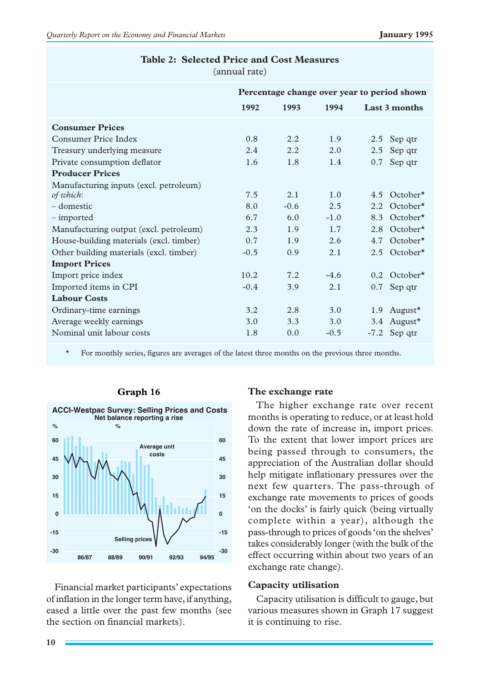|                                         |        | Percentage change over year to period shown |        |      |                            |
|-----------------------------------------|--------|---------------------------------------------|--------|------|----------------------------|
|                                         | 1992   | 1993                                        | 1994   |      | Last 3 months              |
| <b>Consumer Prices</b>                  |        |                                             |        |      |                            |
| Consumer Price Index                    | 0.8    | 2.2.                                        | 1.9    |      | 2.5 Sep qtr                |
| Treasury underlying measure             | 2.4    | 2.2.                                        | 2.0    | 2.5  | Sep qtr                    |
| Private consumption deflator            | 1.6    | 1.8                                         | 1.4    | 0.7  | Sep qtr                    |
| <b>Producer Prices</b>                  |        |                                             |        |      |                            |
| Manufacturing inputs (excl. petroleum)  |        |                                             |        |      |                            |
| of which:                               | 7.5    | 2.1                                         | 1.0    | 4.5  | $October*$                 |
| – domestic                              | 8.0    | $-0.6$                                      | 2.5    | 2.2. | $October*$                 |
| – imported                              | 6.7    | 6.0                                         | $-1.0$ | 8.3  | October $\star$            |
| Manufacturing output (excl. petroleum)  | 2.3    | 1.9                                         | 1.7    | 2.8  | $October*$                 |
| House-building materials (excl. timber) | 0.7    | 1.9                                         | 2.6    | 4.7  | October $\star$            |
| Other building materials (excl. timber) | $-0.5$ | 0.9                                         | 2.1    | 2.5  | $October*$                 |
| <b>Import Prices</b>                    |        |                                             |        |      |                            |
| Import price index                      | 10.2   | 7.2.                                        | $-4.6$ |      | $0.2$ October <sup>*</sup> |
| Imported items in CPI                   | $-0.4$ | 3.9                                         | 2.1    | 0.7  | Sep qtr                    |
| <b>Labour Costs</b>                     |        |                                             |        |      |                            |
| Ordinary-time earnings                  | 3.2    | 2.8                                         | 3.0    |      | 1.9 August $\star$         |
| Average weekly earnings                 | 3.0    | 3.3                                         | 3.0    | 3.4  | August $\star$             |
| Nominal unit labour costs               | 1.8    | 0.0                                         | $-0.5$ |      | -7.2 Sep qtr               |
|                                         |        |                                             |        |      |                            |

#### **Table 2: Selected Price and Cost Measures** (annual rate)

\* For monthly series, figures are averages of the latest three months on the previous three months.



# **Graph 16**

Financial market participants' expectations of inflation in the longer term have, if anything, eased a little over the past few months (see the section on financial markets).

#### **The exchange rate**

The higher exchange rate over recent months is operating to reduce, or at least hold down the rate of increase in, import prices. To the extent that lower import prices are being passed through to consumers, the appreciation of the Australian dollar should help mitigate inflationary pressures over the next few quarters. The pass-through of exchange rate movements to prices of goods 'on the docks' is fairly quick (being virtually complete within a year), although the pass-through to prices of goods 'on the shelves' takes considerably longer (with the bulk of the effect occurring within about two years of an exchange rate change).

### **Capacity utilisation**

Capacity utilisation is difficult to gauge, but various measures shown in Graph 17 suggest it is continuing to rise.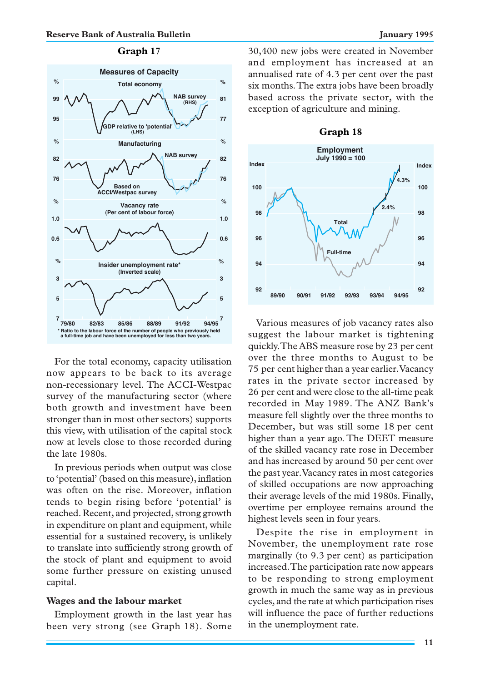# **Graph 17**



For the total economy, capacity utilisation now appears to be back to its average non-recessionary level. The ACCI-Westpac survey of the manufacturing sector (where both growth and investment have been stronger than in most other sectors) supports this view, with utilisation of the capital stock now at levels close to those recorded during the late 1980s.

In previous periods when output was close to 'potential'(based on this measure), inflation was often on the rise. Moreover, inflation tends to begin rising before 'potential' is reached. Recent, and projected, strong growth in expenditure on plant and equipment, while essential for a sustained recovery, is unlikely to translate into sufficiently strong growth of the stock of plant and equipment to avoid some further pressure on existing unused capital.

#### **Wages and the labour market**

Employment growth in the last year has been very strong (see Graph 18). Some 30,400 new jobs were created in November and employment has increased at an annualised rate of 4.3 per cent over the past six months. The extra jobs have been broadly based across the private sector, with the exception of agriculture and mining.



Various measures of job vacancy rates also suggest the labour market is tightening quickly. The ABS measure rose by 23 per cent over the three months to August to be 75 per cent higher than a year earlier. Vacancy rates in the private sector increased by 26 per cent and were close to the all-time peak recorded in May 1989. The ANZ Bank's measure fell slightly over the three months to December, but was still some 18 per cent higher than a year ago. The DEET measure of the skilled vacancy rate rose in December and has increased by around 50 per cent over the past year. Vacancy rates in most categories of skilled occupations are now approaching their average levels of the mid 1980s. Finally, overtime per employee remains around the highest levels seen in four years.

Despite the rise in employment in November, the unemployment rate rose marginally (to 9.3 per cent) as participation increased. The participation rate now appears to be responding to strong employment growth in much the same way as in previous cycles, and the rate at which participation rises will influence the pace of further reductions in the unemployment rate.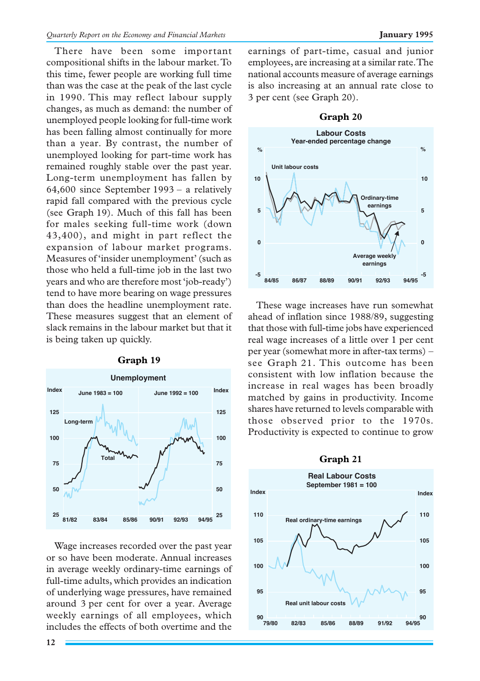There have been some important compositional shifts in the labour market. To this time, fewer people are working full time than was the case at the peak of the last cycle in 1990. This may reflect labour supply changes, as much as demand: the number of unemployed people looking for full-time work has been falling almost continually for more than a year. By contrast, the number of unemployed looking for part-time work has remained roughly stable over the past year. Long-term unemployment has fallen by 64,600 since September 1993 – a relatively rapid fall compared with the previous cycle (see Graph 19). Much of this fall has been for males seeking full-time work (down 43,400), and might in part reflect the expansion of labour market programs. Measures of 'insider unemployment'(such as those who held a full-time job in the last two years and who are therefore most 'job-ready') tend to have more bearing on wage pressures than does the headline unemployment rate. These measures suggest that an element of slack remains in the labour market but that it is being taken up quickly.



**Graph 19**

Wage increases recorded over the past year or so have been moderate. Annual increases in average weekly ordinary-time earnings of full-time adults, which provides an indication of underlying wage pressures, have remained around 3 per cent for over a year. Average weekly earnings of all employees, which includes the effects of both overtime and the

earnings of part-time, casual and junior employees, are increasing at a similar rate. The national accounts measure of average earnings is also increasing at an annual rate close to 3 per cent (see Graph 20).



These wage increases have run somewhat ahead of inflation since 1988/89, suggesting that those with full-time jobs have experienced real wage increases of a little over 1 per cent per year (somewhat more in after-tax terms) – see Graph 21. This outcome has been consistent with low inflation because the increase in real wages has been broadly matched by gains in productivity. Income shares have returned to levels comparable with those observed prior to the 1970s. Productivity is expected to continue to grow

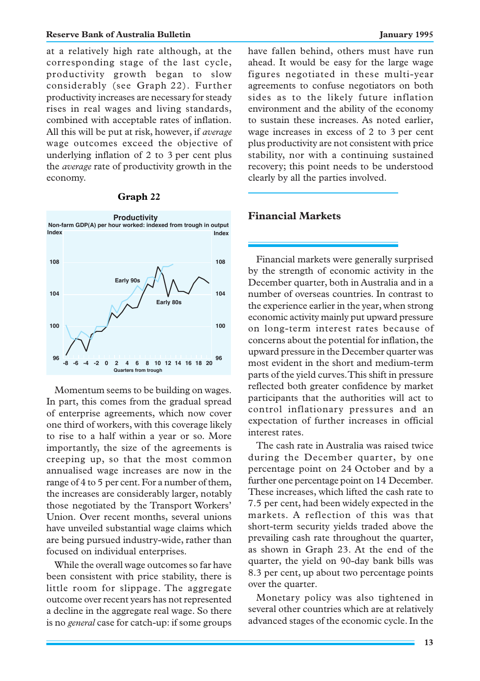at a relatively high rate although, at the corresponding stage of the last cycle, productivity growth began to slow considerably (see Graph 22). Further productivity increases are necessary for steady rises in real wages and living standards, combined with acceptable rates of inflation. All this will be put at risk, however, if *average* wage outcomes exceed the objective of underlying inflation of 2 to 3 per cent plus the *average* rate of productivity growth in the economy.

#### **Graph 22**



Momentum seems to be building on wages. In part, this comes from the gradual spread of enterprise agreements, which now cover one third of workers, with this coverage likely to rise to a half within a year or so. More importantly, the size of the agreements is creeping up, so that the most common annualised wage increases are now in the range of 4 to 5 per cent. For a number of them, the increases are considerably larger, notably those negotiated by the Transport Workers' Union. Over recent months, several unions have unveiled substantial wage claims which are being pursued industry-wide, rather than focused on individual enterprises.

While the overall wage outcomes so far have been consistent with price stability, there is little room for slippage. The aggregate outcome over recent years has not represented a decline in the aggregate real wage. So there is no *general* case for catch-up: if some groups have fallen behind, others must have run ahead. It would be easy for the large wage figures negotiated in these multi-year agreements to confuse negotiators on both sides as to the likely future inflation environment and the ability of the economy to sustain these increases. As noted earlier, wage increases in excess of 2 to 3 per cent plus productivity are not consistent with price stability, nor with a continuing sustained recovery; this point needs to be understood clearly by all the parties involved.

# **Financial Markets**

Financial markets were generally surprised by the strength of economic activity in the December quarter, both in Australia and in a number of overseas countries. In contrast to the experience earlier in the year, when strong economic activity mainly put upward pressure on long-term interest rates because of concerns about the potential for inflation, the upward pressure in the December quarter was most evident in the short and medium-term parts of the yield curves. This shift in pressure reflected both greater confidence by market participants that the authorities will act to control inflationary pressures and an expectation of further increases in official interest rates.

The cash rate in Australia was raised twice during the December quarter, by one percentage point on 24 October and by a further one percentage point on 14 December. These increases, which lifted the cash rate to 7.5 per cent, had been widely expected in the markets. A reflection of this was that short-term security yields traded above the prevailing cash rate throughout the quarter, as shown in Graph 23. At the end of the quarter, the yield on 90-day bank bills was 8.3 per cent, up about two percentage points over the quarter.

Monetary policy was also tightened in several other countries which are at relatively advanced stages of the economic cycle. In the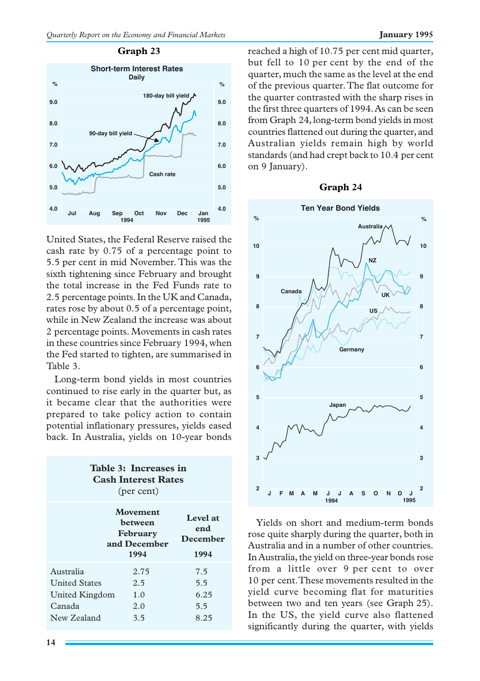#### **Graph 23**



United States, the Federal Reserve raised the cash rate by 0.75 of a percentage point to 5.5 per cent in mid November. This was the sixth tightening since February and brought the total increase in the Fed Funds rate to 2.5 percentage points. In the UK and Canada, rates rose by about 0.5 of a percentage point, while in New Zealand the increase was about 2 percentage points. Movements in cash rates in these countries since February 1994, when the Fed started to tighten, are summarised in Table 3.

Long-term bond yields in most countries continued to rise early in the quarter but, as it became clear that the authorities were prepared to take policy action to contain potential inflationary pressures, yields eased back. In Australia, yields on 10-year bonds

| Table 3: Increases in<br><b>Cash Interest Rates</b><br>(per cent) |      |                                     |  |  |
|-------------------------------------------------------------------|------|-------------------------------------|--|--|
| Movement<br>hetween<br>February<br>and December<br>1994           |      | Level at<br>end<br>December<br>1994 |  |  |
|                                                                   |      |                                     |  |  |
| Australia                                                         | 2.75 | 7.5                                 |  |  |
| <b>United States</b>                                              | 2.5  | 5.5                                 |  |  |
| United Kingdom                                                    | 1.0  | 6.25                                |  |  |
| Canada                                                            | 2.0  | 5.5                                 |  |  |
| New Zealand                                                       | 3.5  | 8.25                                |  |  |

**14**

reached a high of 10.75 per cent mid quarter, but fell to 10 per cent by the end of the quarter, much the same as the level at the end of the previous quarter. The flat outcome for the quarter contrasted with the sharp rises in the first three quarters of 1994. As can be seen from Graph 24, long-term bond yields in most countries flattened out during the quarter, and Australian yields remain high by world standards (and had crept back to 10.4 per cent on 9 January).

#### **Graph 24**



Yields on short and medium-term bonds rose quite sharply during the quarter, both in Australia and in a number of other countries. In Australia, the yield on three-year bonds rose from a little over 9 per cent to over 10 per cent. These movements resulted in the yield curve becoming flat for maturities between two and ten years (see Graph 25). In the US, the yield curve also flattened significantly during the quarter, with yields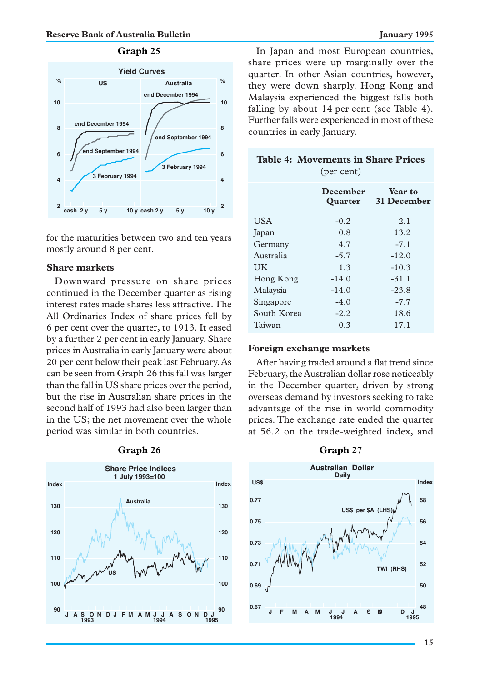# **Graph 25**



for the maturities between two and ten years mostly around 8 per cent.

#### **Share markets**

Downward pressure on share prices continued in the December quarter as rising interest rates made shares less attractive. The All Ordinaries Index of share prices fell by 6 per cent over the quarter, to 1913. It eased by a further 2 per cent in early January. Share prices in Australia in early January were about 20 per cent below their peak last February. As can be seen from Graph 26 this fall was larger than the fall in US share prices over the period, but the rise in Australian share prices in the second half of 1993 had also been larger than in the US; the net movement over the whole period was similar in both countries.



#### **Graph 26**

In Japan and most European countries, share prices were up marginally over the quarter. In other Asian countries, however, they were down sharply. Hong Kong and Malaysia experienced the biggest falls both falling by about 14 per cent (see Table 4). Further falls were experienced in most of these countries in early January.

| <b>Table 4: Movements in Share Prices</b><br>(per cent) |          |                                       |  |  |
|---------------------------------------------------------|----------|---------------------------------------|--|--|
|                                                         | December | <b>Year to</b><br>Quarter 31 December |  |  |
| <b>USA</b>                                              | $-0.2$   | 2.1                                   |  |  |
| Japan                                                   | 0.8      | 13.2                                  |  |  |
| Germany                                                 | 4.7      | $-7.1$                                |  |  |
| Australia                                               | $-5.7$   | $-12.0$                               |  |  |
| <b>UK</b>                                               | 1.3      | $-10.3$                               |  |  |
| Hong Kong                                               | $-14.0$  | $-31.1$                               |  |  |
| Malaysia                                                | $-14.0$  | $-23.8$                               |  |  |
| Singapore                                               | $-4.0$   | $-7.7$                                |  |  |
| South Korea                                             | $-2.2$   | 18.6                                  |  |  |
| Taiwan                                                  | 0.3      | 17.1                                  |  |  |

#### **Foreign exchange markets**

After having traded around a flat trend since February, the Australian dollar rose noticeably in the December quarter, driven by strong overseas demand by investors seeking to take advantage of the rise in world commodity prices. The exchange rate ended the quarter at 56.2 on the trade-weighted index, and



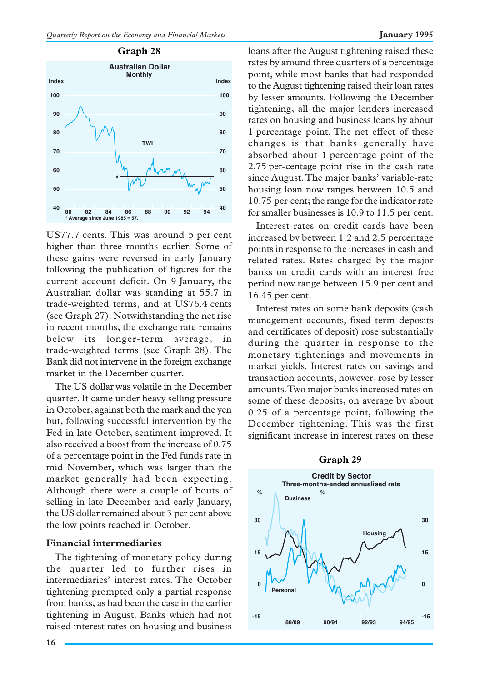

US77.7 cents. This was around 5 per cent higher than three months earlier. Some of these gains were reversed in early January following the publication of figures for the current account deficit. On 9 January, the Australian dollar was standing at 55.7 in trade-weighted terms, and at US76.4 cents (see Graph 27). Notwithstanding the net rise in recent months, the exchange rate remains below its longer-term average, in trade-weighted terms (see Graph 28). The Bank did not intervene in the foreign exchange market in the December quarter.

The US dollar was volatile in the December quarter. It came under heavy selling pressure in October, against both the mark and the yen but, following successful intervention by the Fed in late October, sentiment improved. It also received a boost from the increase of 0.75 of a percentage point in the Fed funds rate in mid November, which was larger than the market generally had been expecting. Although there were a couple of bouts of selling in late December and early January, the US dollar remained about 3 per cent above the low points reached in October.

#### **Financial intermediaries**

The tightening of monetary policy during the quarter led to further rises in intermediaries' interest rates. The October tightening prompted only a partial response from banks, as had been the case in the earlier tightening in August. Banks which had not raised interest rates on housing and business

**16**

loans after the August tightening raised these rates by around three quarters of a percentage point, while most banks that had responded to the August tightening raised their loan rates by lesser amounts. Following the December tightening, all the major lenders increased rates on housing and business loans by about 1 percentage point. The net effect of these changes is that banks generally have absorbed about 1 percentage point of the 2.75 per-centage point rise in the cash rate since August. The major banks' variable-rate housing loan now ranges between 10.5 and 10.75 per cent; the range for the indicator rate for smaller businesses is 10.9 to 11.5 per cent.

Interest rates on credit cards have been increased by between 1.2 and 2.5 percentage points in response to the increases in cash and related rates. Rates charged by the major banks on credit cards with an interest free period now range between 15.9 per cent and 16.45 per cent.

Interest rates on some bank deposits (cash management accounts, fixed term deposits and certificates of deposit) rose substantially during the quarter in response to the monetary tightenings and movements in market yields. Interest rates on savings and transaction accounts, however, rose by lesser amounts. Two major banks increased rates on some of these deposits, on average by about 0.25 of a percentage point, following the December tightening. This was the first significant increase in interest rates on these

#### **Graph 29**